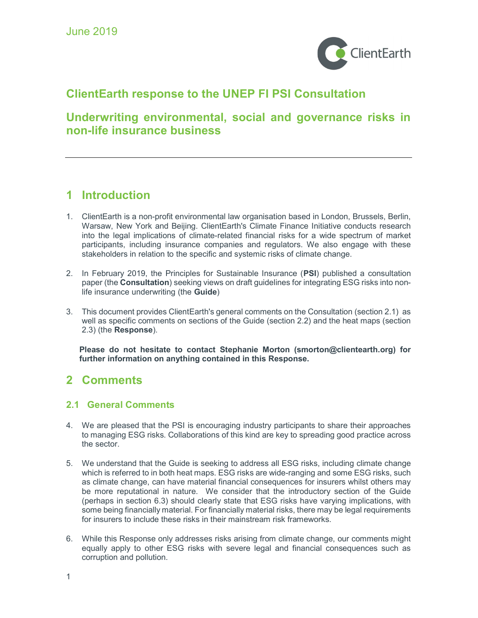

# ClientEarth response to the UNEP FI PSI Consultation

# Underwriting environmental, social and governance risks in non-life insurance business

# 1 Introduction

- 1. ClientEarth is a non-profit environmental law organisation based in London, Brussels, Berlin, Warsaw, New York and Beijing. ClientEarth's Climate Finance Initiative conducts research into the legal implications of climate-related financial risks for a wide spectrum of market participants, including insurance companies and regulators. We also engage with these stakeholders in relation to the specific and systemic risks of climate change.
- 2. In February 2019, the Principles for Sustainable Insurance (PSI) published a consultation paper (the Consultation) seeking views on draft guidelines for integrating ESG risks into nonlife insurance underwriting (the Guide)
- 3. This document provides ClientEarth's general comments on the Consultation (section 2.1) as well as specific comments on sections of the Guide (section 2.2) and the heat maps (section 2.3) (the Response).

Please do not hesitate to contact Stephanie Morton (smorton@clientearth.org) for further information on anything contained in this Response.

# 2 Comments

## 2.1 General Comments

- 4. We are pleased that the PSI is encouraging industry participants to share their approaches to managing ESG risks. Collaborations of this kind are key to spreading good practice across the sector.
- 5. We understand that the Guide is seeking to address all ESG risks, including climate change which is referred to in both heat maps. ESG risks are wide-ranging and some ESG risks, such as climate change, can have material financial consequences for insurers whilst others may be more reputational in nature. We consider that the introductory section of the Guide (perhaps in section 6.3) should clearly state that ESG risks have varying implications, with some being financially material. For financially material risks, there may be legal requirements for insurers to include these risks in their mainstream risk frameworks.
- 6. While this Response only addresses risks arising from climate change, our comments might equally apply to other ESG risks with severe legal and financial consequences such as corruption and pollution.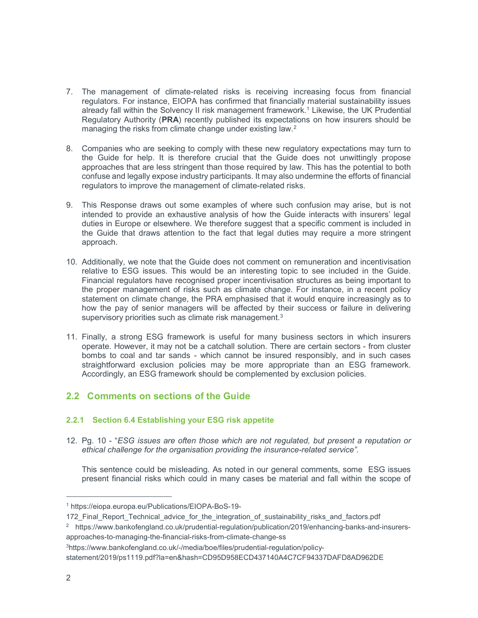- 7. The management of climate-related risks is receiving increasing focus from financial regulators. For instance, EIOPA has confirmed that financially material sustainability issues already fall within the Solvency II risk management framework.<sup>1</sup> Likewise, the UK Prudential Regulatory Authority (PRA) recently published its expectations on how insurers should be managing the risks from climate change under existing law.<sup>2</sup>
- 8. Companies who are seeking to comply with these new regulatory expectations may turn to the Guide for help. It is therefore crucial that the Guide does not unwittingly propose approaches that are less stringent than those required by law. This has the potential to both confuse and legally expose industry participants. It may also undermine the efforts of financial regulators to improve the management of climate-related risks.
- 9. This Response draws out some examples of where such confusion may arise, but is not intended to provide an exhaustive analysis of how the Guide interacts with insurers' legal duties in Europe or elsewhere. We therefore suggest that a specific comment is included in the Guide that draws attention to the fact that legal duties may require a more stringent approach.
- 10. Additionally, we note that the Guide does not comment on remuneration and incentivisation relative to ESG issues. This would be an interesting topic to see included in the Guide. Financial regulators have recognised proper incentivisation structures as being important to the proper management of risks such as climate change. For instance, in a recent policy statement on climate change, the PRA emphasised that it would enquire increasingly as to how the pay of senior managers will be affected by their success or failure in delivering supervisory priorities such as climate risk management.<sup>3</sup>
- 11. Finally, a strong ESG framework is useful for many business sectors in which insurers operate. However, it may not be a catchall solution. There are certain sectors - from cluster bombs to coal and tar sands - which cannot be insured responsibly, and in such cases straightforward exclusion policies may be more appropriate than an ESG framework. Accordingly, an ESG framework should be complemented by exclusion policies.

## 2.2 Comments on sections of the Guide

### 2.2.1 Section 6.4 Establishing your ESG risk appetite

12. Pg. 10 - "ESG issues are often those which are not regulated, but present a reputation or ethical challenge for the organisation providing the insurance-related service".

This sentence could be misleading. As noted in our general comments, some ESG issues present financial risks which could in many cases be material and fall within the scope of

3https://www.bankofengland.co.uk/-/media/boe/files/prudential-regulation/policy-

<sup>1</sup> https://eiopa.europa.eu/Publications/EIOPA-BoS-19-

<sup>172</sup> Final Report Technical advice for the integration of sustainability risks and factors.pdf

<sup>2</sup> https://www.bankofengland.co.uk/prudential-regulation/publication/2019/enhancing-banks-and-insurersapproaches-to-managing-the-financial-risks-from-climate-change-ss

statement/2019/ps1119.pdf?la=en&hash=CD95D958ECD437140A4C7CF94337DAFD8AD962DE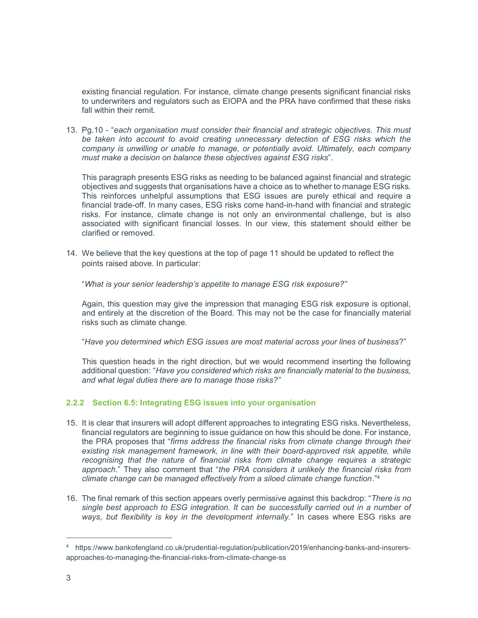existing financial regulation. For instance, climate change presents significant financial risks to underwriters and regulators such as EIOPA and the PRA have confirmed that these risks fall within their remit

13. Pg.10 - "each organisation must consider their financial and strategic objectives. This must be taken into account to avoid creating unnecessary detection of ESG risks which the company is unwilling or unable to manage, or potentially avoid. Ultimately, each company must make a decision on balance these objectives against ESG risks".

This paragraph presents ESG risks as needing to be balanced against financial and strategic objectives and suggests that organisations have a choice as to whether to manage ESG risks. This reinforces unhelpful assumptions that ESG issues are purely ethical and require a financial trade-off. In many cases, ESG risks come hand-in-hand with financial and strategic risks. For instance, climate change is not only an environmental challenge, but is also associated with significant financial losses. In our view, this statement should either be clarified or removed.

14. We believe that the key questions at the top of page 11 should be updated to reflect the points raised above. In particular:

"What is your senior leadership's appetite to manage ESG risk exposure?"

Again, this question may give the impression that managing ESG risk exposure is optional, and entirely at the discretion of the Board. This may not be the case for financially material risks such as climate change.

"Have you determined which ESG issues are most material across your lines of business?"

This question heads in the right direction, but we would recommend inserting the following additional question: "Have you considered which risks are financially material to the business, and what legal duties there are to manage those risks?"

### 2.2.2 Section 6.5: Integrating ESG issues into your organisation

- 15. It is clear that insurers will adopt different approaches to integrating ESG risks. Nevertheless, financial regulators are beginning to issue guidance on how this should be done. For instance, the PRA proposes that "firms address the financial risks from climate change through their existing risk management framework, in line with their board-approved risk appetite, while recognising that the nature of financial risks from climate change requires a strategic approach." They also comment that "the PRA considers it unlikely the financial risks from climate change can be managed effectively from a siloed climate change function."<sup>4</sup>
- 16. The final remark of this section appears overly permissive against this backdrop: "There is no single best approach to ESG integration. It can be successfully carried out in a number of ways, but flexibility is key in the development internally." In cases where ESG risks are

<sup>4</sup> https://www.bankofengland.co.uk/prudential-regulation/publication/2019/enhancing-banks-and-insurersapproaches-to-managing-the-financial-risks-from-climate-change-ss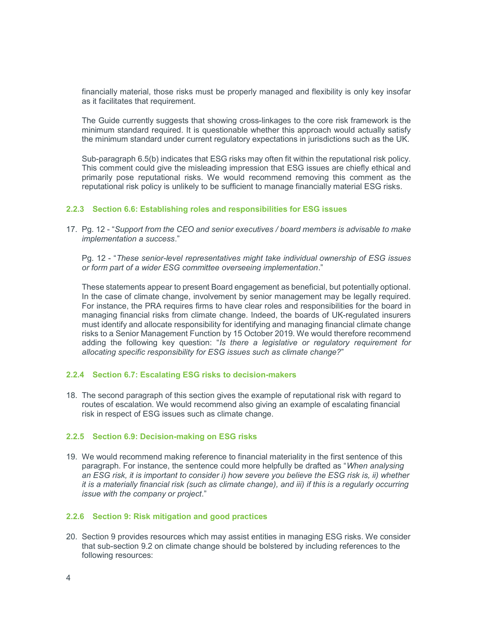financially material, those risks must be properly managed and flexibility is only key insofar as it facilitates that requirement.

The Guide currently suggests that showing cross-linkages to the core risk framework is the minimum standard required. It is questionable whether this approach would actually satisfy the minimum standard under current regulatory expectations in jurisdictions such as the UK.

Sub-paragraph 6.5(b) indicates that ESG risks may often fit within the reputational risk policy. This comment could give the misleading impression that ESG issues are chiefly ethical and primarily pose reputational risks. We would recommend removing this comment as the reputational risk policy is unlikely to be sufficient to manage financially material ESG risks.

### 2.2.3 Section 6.6: Establishing roles and responsibilities for ESG issues

17. Pg. 12 - "Support from the CEO and senior executives / board members is advisable to make implementation a success."

Pg. 12 - "These senior-level representatives might take individual ownership of ESG issues or form part of a wider ESG committee overseeing implementation."

These statements appear to present Board engagement as beneficial, but potentially optional. In the case of climate change, involvement by senior management may be legally required. For instance, the PRA requires firms to have clear roles and responsibilities for the board in managing financial risks from climate change. Indeed, the boards of UK-regulated insurers must identify and allocate responsibility for identifying and managing financial climate change risks to a Senior Management Function by 15 October 2019. We would therefore recommend adding the following key question: "Is there a legislative or regulatory requirement for allocating specific responsibility for ESG issues such as climate change?"

#### 2.2.4 Section 6.7: Escalating ESG risks to decision-makers

18. The second paragraph of this section gives the example of reputational risk with regard to routes of escalation. We would recommend also giving an example of escalating financial risk in respect of ESG issues such as climate change.

#### 2.2.5 Section 6.9: Decision-making on ESG risks

19. We would recommend making reference to financial materiality in the first sentence of this paragraph. For instance, the sentence could more helpfully be drafted as "When analysing an ESG risk, it is important to consider i) how severe you believe the ESG risk is, ii) whether it is a materially financial risk (such as climate change), and iii) if this is a regularly occurring issue with the company or project."

### 2.2.6 Section 9: Risk mitigation and good practices

20. Section 9 provides resources which may assist entities in managing ESG risks. We consider that sub-section 9.2 on climate change should be bolstered by including references to the following resources: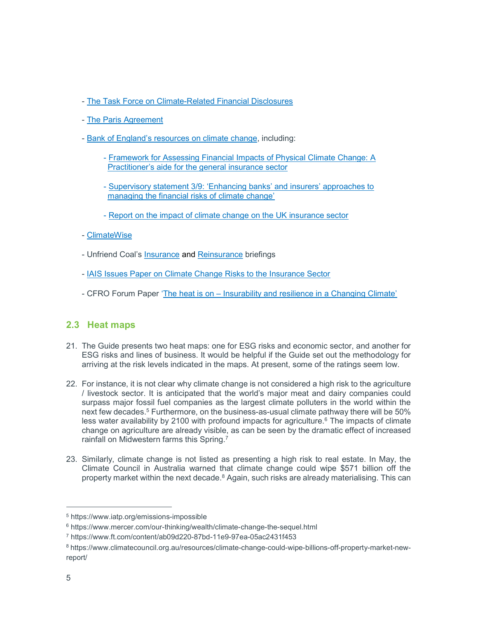- The Task Force on Climate-Related Financial Disclosures
- The Paris Agreement
- Bank of England's resources on climate change, including:
	- Framework for Assessing Financial Impacts of Physical Climate Change: A Practitioner's aide for the general insurance sector
	- Supervisory statement 3/9: 'Enhancing banks' and insurers' approaches to managing the financial risks of climate change'
	- Report on the impact of climate change on the UK insurance sector
- ClimateWise
- Unfriend Coal's Insurance and Reinsurance briefings
- IAIS Issues Paper on Climate Change Risks to the Insurance Sector
- CFRO Forum Paper 'The heat is on Insurability and resilience in a Changing Climate'

## 2.3 Heat maps

- 21. The Guide presents two heat maps: one for ESG risks and economic sector, and another for ESG risks and lines of business. It would be helpful if the Guide set out the methodology for arriving at the risk levels indicated in the maps. At present, some of the ratings seem low.
- 22. For instance, it is not clear why climate change is not considered a high risk to the agriculture / livestock sector. It is anticipated that the world's major meat and dairy companies could surpass major fossil fuel companies as the largest climate polluters in the world within the next few decades.<sup>5</sup> Furthermore, on the business-as-usual climate pathway there will be 50% less water availability by 2100 with profound impacts for agriculture.<sup>6</sup> The impacts of climate change on agriculture are already visible, as can be seen by the dramatic effect of increased rainfall on Midwestern farms this Spring.<sup>7</sup>
- 23. Similarly, climate change is not listed as presenting a high risk to real estate. In May, the Climate Council in Australia warned that climate change could wipe \$571 billion off the property market within the next decade.<sup>8</sup> Again, such risks are already materialising. This can

<sup>5</sup> https://www.iatp.org/emissions-impossible

<sup>6</sup> https://www.mercer.com/our-thinking/wealth/climate-change-the-sequel.html

<sup>7</sup> https://www.ft.com/content/ab09d220-87bd-11e9-97ea-05ac2431f453

<sup>8</sup> https://www.climatecouncil.org.au/resources/climate-change-could-wipe-billions-off-property-market-newreport/